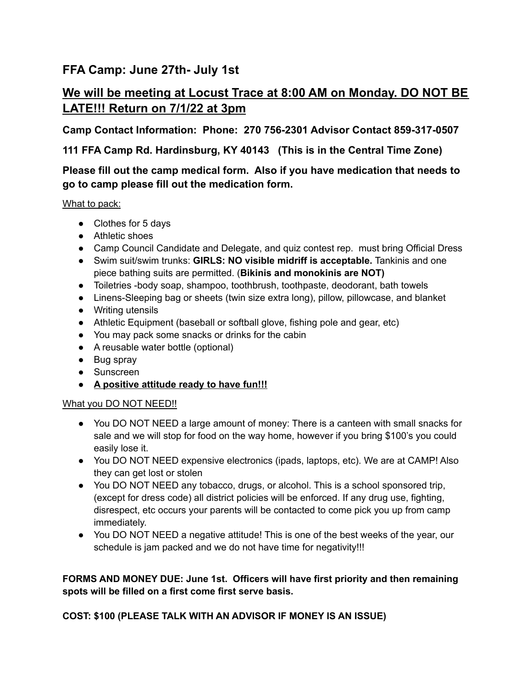## **FFA Camp: June 27th- July 1st**

# **We will be meeting at Locust Trace at 8:00 AM on Monday. DO NOT BE LATE!!! Return on 7/1/22 at 3pm**

**Camp Contact Information: Phone: 270 756-2301 Advisor Contact 859-317-0507**

**111 FFA Camp Rd. Hardinsburg, KY 40143 (This is in the Central Time Zone)**

### **Please fill out the camp medical form. Also if you have medication that needs to go to camp please fill out the medication form.**

What to pack:

- Clothes for 5 days
- Athletic shoes
- Camp Council Candidate and Delegate, and quiz contest rep. must bring Official Dress
- Swim suit/swim trunks: **GIRLS: NO visible midriff is acceptable.** Tankinis and one piece bathing suits are permitted. (**Bikinis and monokinis are NOT)**
- Toiletries -body soap, shampoo, toothbrush, toothpaste, deodorant, bath towels
- Linens-Sleeping bag or sheets (twin size extra long), pillow, pillowcase, and blanket
- Writing utensils
- Athletic Equipment (baseball or softball glove, fishing pole and gear, etc)
- You may pack some snacks or drinks for the cabin
- A reusable water bottle (optional)
- Bug spray
- Sunscreen
- **● A positive attitude ready to have fun!!!**

#### What you DO NOT NEED!!

- You DO NOT NEED a large amount of money: There is a canteen with small snacks for sale and we will stop for food on the way home, however if you bring \$100's you could easily lose it.
- You DO NOT NEED expensive electronics (ipads, laptops, etc). We are at CAMP! Also they can get lost or stolen
- You DO NOT NEED any tobacco, drugs, or alcohol. This is a school sponsored trip, (except for dress code) all district policies will be enforced. If any drug use, fighting, disrespect, etc occurs your parents will be contacted to come pick you up from camp immediately.
- You DO NOT NEED a negative attitude! This is one of the best weeks of the year, our schedule is jam packed and we do not have time for negativity!!!

**FORMS AND MONEY DUE: June 1st. Officers will have first priority and then remaining spots will be filled on a first come first serve basis.**

**COST: \$100 (PLEASE TALK WITH AN ADVISOR IF MONEY IS AN ISSUE)**